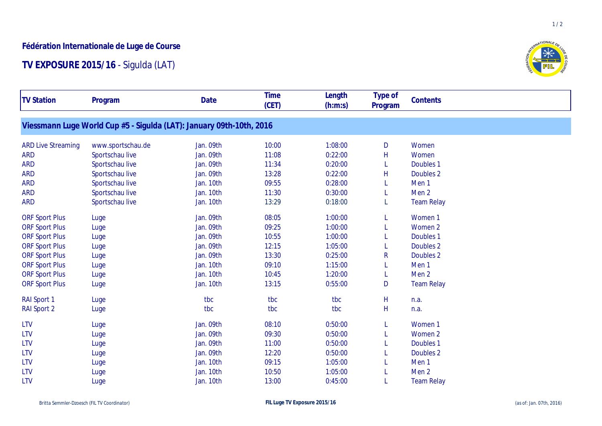## **Fédération Internationale de Luge de Course**

## **TV EXPOSURE 2015/16** - Sigulda (LAT)



 $1/2$